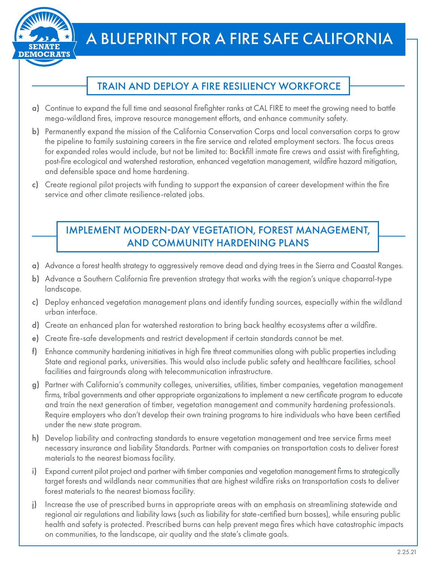

# A BLUEPRINT FOR A FIRE SAFE CALIFORNIA

## TRAIN AND DEPLOY A FIRE RESILIENCY WORKFORCE

- a) Continue to expand the full time and seasonal firefighter ranks at CAL FIRE to meet the growing need to battle mega-wildland fires, improve resource management efforts, and enhance community safety.
- b) Permanently expand the mission of the California Conservation Corps and local conversation corps to grow the pipeline to family sustaining careers in the fire service and related employment sectors. The focus areas for expanded roles would include, but not be limited to: Backfill inmate fire crews and assist with firefighting, post-fire ecological and watershed restoration, enhanced vegetation management, wildfire hazard mitigation, and defensible space and home hardening.
- c) Create regional pilot projects with funding to support the expansion of career development within the fire service and other climate resilience-related jobs.

#### IMPLEMENT MODERN-DAY VEGETATION, FOREST MANAGEMENT, AND COMMUNITY HARDENING PLANS

- a) Advance a forest health strategy to aggressively remove dead and dying trees in the Sierra and Coastal Ranges.
- b) Advance a Southern California fire prevention strategy that works with the region's unique chaparral-type landscape.
- c) Deploy enhanced vegetation management plans and identify funding sources, especially within the wildland urban interface.
- d) Create an enhanced plan for watershed restoration to bring back healthy ecosystems after a wildfire.
- e) Create fire-safe developments and restrict development if certain standards cannot be met.
- f) Enhance community hardening initiatives in high fire threat communities along with public properties including State and regional parks, universities. This would also include public safety and healthcare facilities, school facilities and fairgrounds along with telecommunication infrastructure.
- g) Partner with California's community colleges, universities, utilities, timber companies, vegetation management firms, tribal governments and other appropriate organizations to implement a new certificate program to educate and train the next generation of timber, vegetation management and community hardening professionals. Require employers who don't develop their own training programs to hire individuals who have been certified under the new state program.
- h) Develop liability and contracting standards to ensure vegetation management and tree service firms meet necessary insurance and liability Standards. Partner with companies on transportation costs to deliver forest materials to the nearest biomass facility.
- i) Expand current pilot project and partner with timber companies and vegetation management firms to strategically target forests and wildlands near communities that are highest wildfire risks on transportation costs to deliver forest materials to the nearest biomass facility.
- j) Increase the use of prescribed burns in appropriate areas with an emphasis on streamlining statewide and regional air regulations and liability laws (such as liability for state-certified burn bosses), while ensuring public health and safety is protected. Prescribed burns can help prevent mega fires which have catastrophic impacts on communities, to the landscape, air quality and the state's climate goals.